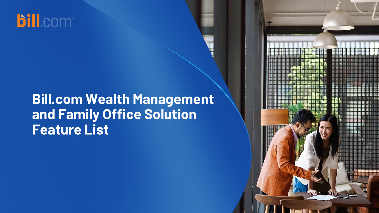

# **Bill.com Wealth Management and Family Office Solution Feature List**

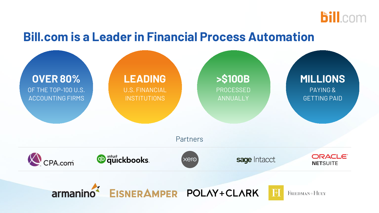

### **Bill.com is a Leader in Financial Process Automation**

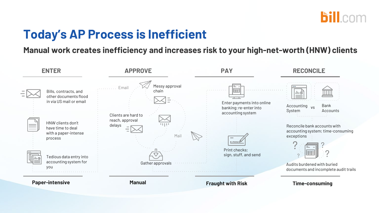

### **Today's AP Process is Inefficient**

#### **Manual work creates inefficiency and increases risk to your high-net-worth (HNW) clients**

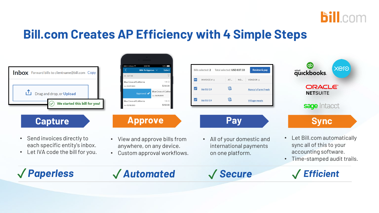

### **Bill.com Creates AP Efficiency with 4 Simple Steps**

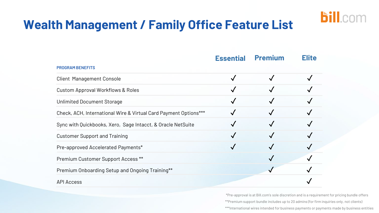

## **Wealth Management / Family Office Feature List**

|                                                                  | <b>Essential</b> | <b>Premium</b> | <b>Elite</b> |
|------------------------------------------------------------------|------------------|----------------|--------------|
| <b>PROGRAM BENEFITS</b>                                          |                  |                |              |
| <b>Client Management Console</b>                                 |                  |                |              |
| <b>Custom Approval Workflows &amp; Roles</b>                     |                  |                |              |
| <b>Unlimited Document Storage</b>                                |                  |                |              |
| Check, ACH, International Wire & Virtual Card Payment Options*** |                  |                |              |
| Sync with Quickbooks, Xero, Sage Intacct, & Oracle NetSuite      |                  |                |              |
| <b>Customer Support and Training</b>                             |                  |                |              |
| Pre-approved Accelerated Payments*                               |                  |                |              |
| Premium Customer Support Access **                               |                  |                |              |
| Premium Onboarding Setup and Ongoing Training**                  |                  |                |              |
| <b>API Access</b>                                                |                  |                |              |

\*Pre-approval is at Bill.com's sole discretion and is a requirement for pricing bundle offers \*\*Premium support bundle includes up to 20 admins (for firm inquiries only, not clients) \*\*\*International wires intended for business payments or payments made by business entities